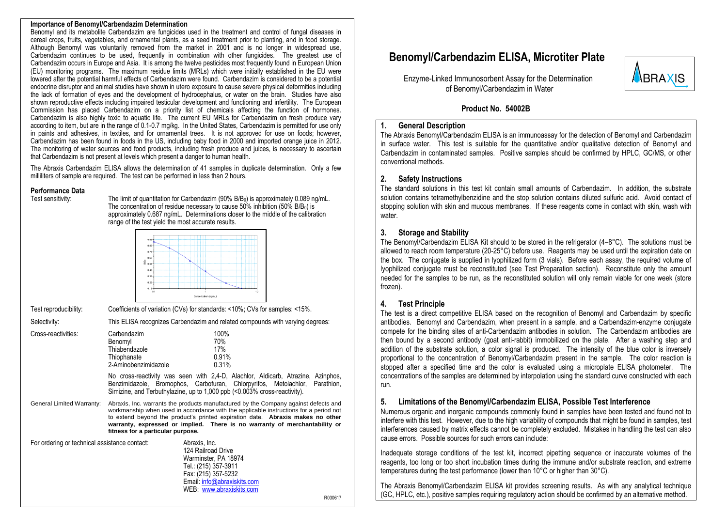#### **Importance of Benomyl/Carbendazim Determination**

Benomyl and its metabolite Carbendazim are fungicides used in the treatment and control of fungal diseases in cereal crops, fruits, vegetables, and ornamental plants, as a seed treatment prior to planting, and in food storage. Although Benomyl was voluntarily removed from the market in 2001 and is no longer in widespread use, Carbendazim continues to be used, frequently in combination with other fungicides. The greatest use of Carbendazim occurs in Europe and Asia. It is among the twelve pesticides most frequently found in European Union (EU) monitoring programs. The maximum residue limits (MRLs) which were initially established in the EU were lowered after the potential harmful effects of Carbendazim were found. Carbendazim is considered to be a potential endocrine disruptor and animal studies have shown in utero exposure to cause severe physical deformities including the lack of formation of eyes and the development of hydrocephalus, or water on the brain. Studies have also shown reproductive effects including impaired testicular development and functioning and infertility. The European Commission has placed Carbendazim on a priority list of chemicals affecting the function of hormones. Carbendazim is also highly toxic to aquatic life. The current EU MRLs for Carbendazim on fresh produce vary according to item, but are in the range of 0.1-0.7 mg/kg. In the United States, Carbendazim is permitted for use only in paints and adhesives, in textiles, and for ornamental trees. It is not approved for use on foods; however, Carbendazim has been found in foods in the US, including baby food in 2000 and imported orange juice in 2012. The monitoring of water sources and food products, including fresh produce and juices, is necessary to ascertain that Carbendazim is not present at levels which present a danger to human health.

The Abraxis Carbendazim ELISA allows the determination of 41 samples in duplicate determination. Only a few milliliters of sample are required. The test can be performed in less than 2 hours.

## **Performance Data**<br>Test sensitivity:

The limit of quantitation for Carbendazim (90% B/B<sub>0</sub>) is approximately 0.089 ng/mL. The concentration of residue necessary to cause  $50\%$  inhibition ( $50\%$  B/B<sub>0</sub>) is approximately 0.687 ng/mL. Determinations closer to the middle of the calibration range of the test yield the most accurate results.



Test reproducibility: Coefficients of variation (CVs) for standards: <10%; CVs for samples: <15%.

Selectivity: This ELISA recognizes Carbendazim and related compounds with varying degrees:

| Cross-reactivities: | Carbendazim                                                                                                                                                                                                                                                           |     | 100%  |  |  |
|---------------------|-----------------------------------------------------------------------------------------------------------------------------------------------------------------------------------------------------------------------------------------------------------------------|-----|-------|--|--|
|                     | Benomyl                                                                                                                                                                                                                                                               |     | 70%   |  |  |
|                     | Thiabendazole                                                                                                                                                                                                                                                         | 17% |       |  |  |
|                     | Thiophanate                                                                                                                                                                                                                                                           |     | 0.91% |  |  |
|                     | 2-Aminobenzimidazole                                                                                                                                                                                                                                                  |     | 0.31% |  |  |
|                     | $\mathbf{M}$ . The set of the set of $\mathbf{M}$ is a set of $\mathbf{M}$ is a set of $\mathbf{M}$ is a set of $\mathbf{M}$ is a set of $\mathbf{M}$ is a set of $\mathbf{M}$ is a set of $\mathbf{M}$ is a set of $\mathbf{M}$ is a set of $\mathbf{M}$ is a set of |     |       |  |  |

No cross-reactivity was seen with 2,4-D, Alachlor, Aldicarb, Atrazine, Azinphos, Benzimidazole, Bromophos, Carbofuran, Chlorpyrifos, Metolachlor, Parathion, Simizine, and Terbuthylazine, up to 1,000 ppb (<0.003% cross-reactivity).

General Limited Warranty: Abraxis, Inc. warrants the products manufactured by the Company against defects and workmanship when used in accordance with the applicable instructions for a period not to extend beyond the product's printed expiration date. **Abraxis makes no other warranty, expressed or implied. There is no warranty of merchantability or fitness for a particular purpose.**

| For ordering or technical assistance contact: | Abraxis, Inc.               |
|-----------------------------------------------|-----------------------------|
|                                               | 124 Railroad Drive          |
|                                               | Warminster, PA 18974        |
|                                               | Tel.: (215) 357-3911        |
|                                               | Fax: (215) 357-5232         |
|                                               | Email: info@abraxiskits.com |
|                                               | WFB: www.abraxiskits.com    |

 **Benomyl/Carbendazim ELISA, Microtiter Plate**



Enzyme-Linked Immunosorbent Assay for the Determination of Benomyl/Carbendazim in Water

#### **Product No. 54002B**

#### **1. General Description**

The Abraxis Benomyl/Carbendazim ELISA is an immunoassay for the detection of Benomyl and Carbendazim in surface water. This test is suitable for the quantitative and/or qualitative detection of Benomyl and Carbendazim in contaminated samples. Positive samples should be confirmed by HPLC, GC/MS, or other conventional methods.

#### **2. Safety Instructions**

The standard solutions in this test kit contain small amounts of Carbendazim. In addition, the substrate solution contains tetramethylbenzidine and the stop solution contains diluted sulfuric acid. Avoid contact of stopping solution with skin and mucous membranes. If these reagents come in contact with skin, wash with water

#### **3. Storage and Stability**

The Benomyl/Carbendazim ELISA Kit should to be stored in the refrigerator (4–8°C). The solutions must be allowed to reach room temperature (20-25°C) before use. Reagents may be used until the expiration date on the box. The conjugate is supplied in lyophilized form (3 vials). Before each assay, the required volume of lyophilized conjugate must be reconstituted (see Test Preparation section). Reconstitute only the amount needed for the samples to be run, as the reconstituted solution will only remain viable for one week (store frozen).

#### **4. Test Principle**

R030617

The test is a direct competitive ELISA based on the recognition of Benomyl and Carbendazim by specific antibodies. Benomyl and Carbendazim, when present in a sample, and a Carbendazim-enzyme conjugate compete for the binding sites of anti-Carbendazim antibodies in solution. The Carbendazim antibodies are then bound by a second antibody (goat anti-rabbit) immobilized on the plate. After a washing step and addition of the substrate solution, a color signal is produced. The intensity of the blue color is inversely proportional to the concentration of Benomyl/Carbendazim present in the sample. The color reaction is stopped after a specified time and the color is evaluated using a microplate ELISA photometer. The concentrations of the samples are determined by interpolation using the standard curve constructed with each run.

#### **5. Limitations of the Benomyl/Carbendazim ELISA, Possible Test Interference**

Numerous organic and inorganic compounds commonly found in samples have been tested and found not to interfere with this test. However, due to the high variability of compounds that might be found in samples, test interferences caused by matrix effects cannot be completely excluded. Mistakes in handling the test can also cause errors. Possible sources for such errors can include:

Inadequate storage conditions of the test kit, incorrect pipetting sequence or inaccurate volumes of the reagents, too long or too short incubation times during the immune and/or substrate reaction, and extreme temperatures during the test performance (lower than 10°C or higher than 30°C).

The Abraxis Benomyl/Carbendazim ELISA kit provides screening results. As with any analytical technique (GC, HPLC, etc.), positive samples requiring regulatory action should be confirmed by an alternative method.